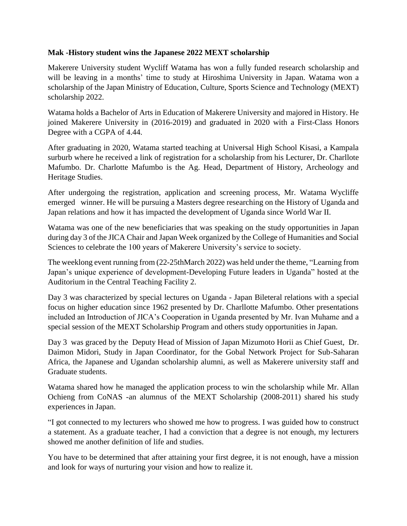## **Mak -History student wins the Japanese 2022 MEXT scholarship**

Makerere University student Wycliff Watama has won a fully funded research scholarship and will be leaving in a months' time to study at Hiroshima University in Japan. Watama won a scholarship of the Japan Ministry of Education, Culture, Sports Science and Technology (MEXT) scholarship 2022.

Watama holds a Bachelor of Arts in Education of Makerere University and majored in History. He joined Makerere University in (2016-2019) and graduated in 2020 with a First-Class Honors Degree with a CGPA of 4.44.

After graduating in 2020, Watama started teaching at Universal High School Kisasi, a Kampala surburb where he received a link of registration for a scholarship from his Lecturer, Dr. Charllote Mafumbo. Dr. Charlotte Mafumbo is the Ag. Head, Department of History, Archeology and Heritage Studies.

After undergoing the registration, application and screening process, Mr. Watama Wycliffe emerged winner. He will be pursuing a Masters degree researching on the History of Uganda and Japan relations and how it has impacted the development of Uganda since World War II.

Watama was one of the new beneficiaries that was speaking on the study opportunities in Japan during day 3 of the JICA Chair and Japan Week organized by the College of Humanities and Social Sciences to celebrate the 100 years of Makerere University's service to society.

The weeklong event running from (22-25thMarch 2022) was held under the theme, "Learning from Japan's unique experience of development-Developing Future leaders in Uganda" hosted at the Auditorium in the Central Teaching Facility 2.

Day 3 was characterized by special lectures on Uganda - Japan Bileteral relations with a special focus on higher education since 1962 presented by Dr. Charllotte Mafumbo. Other presentations included an Introduction of JICA's Cooperation in Uganda presented by Mr. Ivan Muhame and a special session of the MEXT Scholarship Program and others study opportunities in Japan.

Day 3 was graced by the Deputy Head of Mission of Japan Mizumoto Horii as Chief Guest, Dr. Daimon Midori, Study in Japan Coordinator, for the Gobal Network Project for Sub-Saharan Africa, the Japanese and Ugandan scholarship alumni, as well as Makerere university staff and Graduate students.

Watama shared how he managed the application process to win the scholarship while Mr. Allan Ochieng from CoNAS -an alumnus of the MEXT Scholarship (2008-2011) shared his study experiences in Japan.

"I got connected to my lecturers who showed me how to progress. I was guided how to construct a statement. As a graduate teacher, I had a conviction that a degree is not enough, my lecturers showed me another definition of life and studies.

You have to be determined that after attaining your first degree, it is not enough, have a mission and look for ways of nurturing your vision and how to realize it.